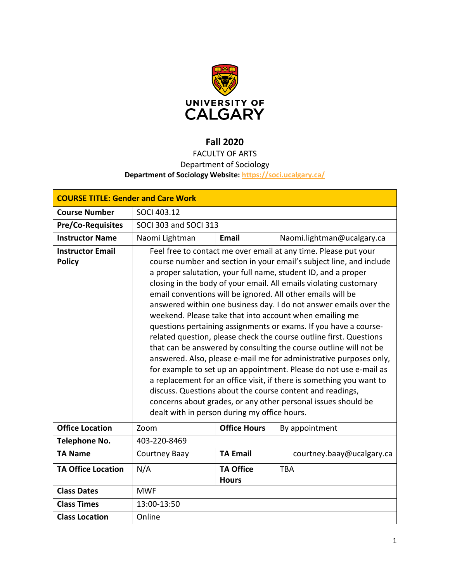

# **Fall 2020**

# FACULTY OF ARTS Department of Sociology

# **Department of Sociology Website:<https://soci.ucalgary.ca/>**

| <b>COURSE TITLE: Gender and Care Work</b> |                                                                                                                                   |                     |                            |  |  |
|-------------------------------------------|-----------------------------------------------------------------------------------------------------------------------------------|---------------------|----------------------------|--|--|
| <b>Course Number</b>                      | SOCI 403.12                                                                                                                       |                     |                            |  |  |
| <b>Pre/Co-Requisites</b>                  | SOCI 303 and SOCI 313                                                                                                             |                     |                            |  |  |
| <b>Instructor Name</b>                    | Naomi Lightman                                                                                                                    | <b>Email</b>        | Naomi.lightman@ucalgary.ca |  |  |
| <b>Instructor Email</b>                   | Feel free to contact me over email at any time. Please put your                                                                   |                     |                            |  |  |
| <b>Policy</b>                             | course number and section in your email's subject line, and include                                                               |                     |                            |  |  |
|                                           | a proper salutation, your full name, student ID, and a proper                                                                     |                     |                            |  |  |
|                                           | closing in the body of your email. All emails violating customary<br>email conventions will be ignored. All other emails will be  |                     |                            |  |  |
|                                           | answered within one business day. I do not answer emails over the                                                                 |                     |                            |  |  |
|                                           | weekend. Please take that into account when emailing me                                                                           |                     |                            |  |  |
|                                           | questions pertaining assignments or exams. If you have a course-                                                                  |                     |                            |  |  |
|                                           | related question, please check the course outline first. Questions                                                                |                     |                            |  |  |
|                                           | that can be answered by consulting the course outline will not be                                                                 |                     |                            |  |  |
|                                           | answered. Also, please e-mail me for administrative purposes only,                                                                |                     |                            |  |  |
|                                           | for example to set up an appointment. Please do not use e-mail as                                                                 |                     |                            |  |  |
|                                           | a replacement for an office visit, if there is something you want to<br>discuss. Questions about the course content and readings, |                     |                            |  |  |
|                                           | concerns about grades, or any other personal issues should be                                                                     |                     |                            |  |  |
|                                           | dealt with in person during my office hours.                                                                                      |                     |                            |  |  |
| <b>Office Location</b>                    | Zoom                                                                                                                              | <b>Office Hours</b> | By appointment             |  |  |
| Telephone No.                             | 403-220-8469                                                                                                                      |                     |                            |  |  |
| <b>TA Name</b>                            | Courtney Baay                                                                                                                     | <b>TA Email</b>     | courtney.baay@ucalgary.ca  |  |  |
| <b>TA Office Location</b>                 | N/A                                                                                                                               | <b>TA Office</b>    | <b>TBA</b>                 |  |  |
|                                           |                                                                                                                                   | <b>Hours</b>        |                            |  |  |
| <b>Class Dates</b>                        | <b>MWF</b>                                                                                                                        |                     |                            |  |  |
| <b>Class Times</b>                        | 13:00-13:50                                                                                                                       |                     |                            |  |  |
| <b>Class Location</b>                     | Online                                                                                                                            |                     |                            |  |  |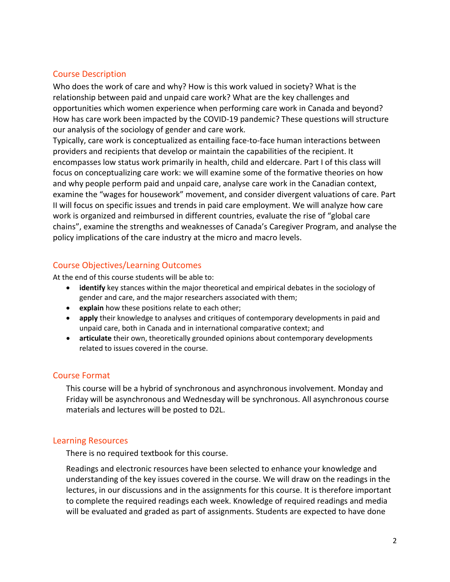# Course Description

Who does the work of care and why? How is this work valued in society? What is the relationship between paid and unpaid care work? What are the key challenges and opportunities which women experience when performing care work in Canada and beyond? How has care work been impacted by the COVID-19 pandemic? These questions will structure our analysis of the sociology of gender and care work.

Typically, care work is conceptualized as entailing face-to-face human interactions between providers and recipients that develop or maintain the capabilities of the recipient. It encompasses low status work primarily in health, child and eldercare. Part I of this class will focus on conceptualizing care work: we will examine some of the formative theories on how and why people perform paid and unpaid care, analyse care work in the Canadian context, examine the "wages for housework" movement, and consider divergent valuations of care. Part II will focus on specific issues and trends in paid care employment. We will analyze how care work is organized and reimbursed in different countries, evaluate the rise of "global care chains", examine the strengths and weaknesses of Canada's Caregiver Program, and analyse the policy implications of the care industry at the micro and macro levels.

# Course Objectives/Learning Outcomes

At the end of this course students will be able to:

- **identify** key stances within the major theoretical and empirical debates in the sociology of gender and care, and the major researchers associated with them;
- **explain** how these positions relate to each other;
- **apply** their knowledge to analyses and critiques of contemporary developments in paid and unpaid care, both in Canada and in international comparative context; and
- **articulate** their own, theoretically grounded opinions about contemporary developments related to issues covered in the course.

# Course Format

This course will be a hybrid of synchronous and asynchronous involvement. Monday and Friday will be asynchronous and Wednesday will be synchronous. All asynchronous course materials and lectures will be posted to D2L.

# Learning Resources

There is no required textbook for this course.

Readings and electronic resources have been selected to enhance your knowledge and understanding of the key issues covered in the course. We will draw on the readings in the lectures, in our discussions and in the assignments for this course. It is therefore important to complete the required readings each week. Knowledge of required readings and media will be evaluated and graded as part of assignments. Students are expected to have done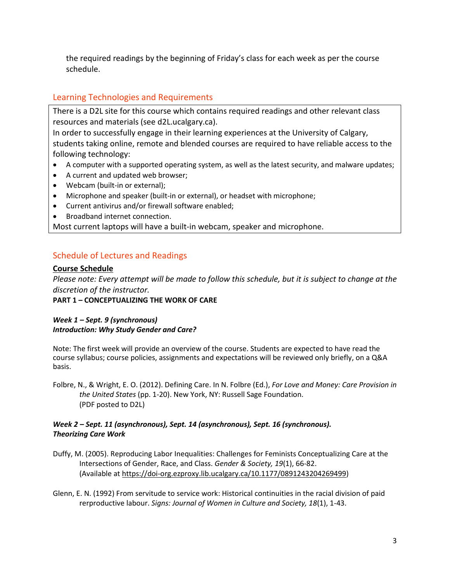the required readings by the beginning of Friday's class for each week as per the course schedule.

# Learning Technologies and Requirements

There is a D2L site for this course which contains required readings and other relevant class resources and materials (see d2L.ucalgary.ca).

In order to successfully engage in their learning experiences at the University of Calgary, students taking online, remote and blended courses are required to have reliable access to the following technology:

- A computer with a supported operating system, as well as the latest security, and malware updates;
- A current and updated web browser;
- Webcam (built-in or external);
- Microphone and speaker (built-in or external), or headset with microphone;
- Current antivirus and/or firewall software enabled;
- Broadband internet connection.

Most current laptops will have a built-in webcam, speaker and microphone.

# Schedule of Lectures and Readings

### **Course Schedule**

*Please note: Every attempt will be made to follow this schedule, but it is subject to change at the discretion of the instructor.*

**PART 1 – CONCEPTUALIZING THE WORK OF CARE**

### *Week 1 – Sept. 9 (synchronous) Introduction: Why Study Gender and Care?*

Note: The first week will provide an overview of the course. Students are expected to have read the course syllabus; course policies, assignments and expectations will be reviewed only briefly, on a Q&A basis.

Folbre, N., & Wright, E. O. (2012). Defining Care. In N. Folbre (Ed.), *For Love and Money: Care Provision in the United States* (pp. 1-20). New York, NY: Russell Sage Foundation. (PDF posted to D2L)

#### *Week 2 – Sept. 11 (asynchronous), Sept. 14 (asynchronous), Sept. 16 (synchronous). Theorizing Care Work*

Duffy, M. (2005). Reproducing Labor Inequalities: Challenges for Feminists Conceptualizing Care at the Intersections of Gender, Race, and Class. *Gender & Society, 19*(1), 66-82. (Available at [https://doi-org.ezproxy.lib.ucalgary.ca/10.1177/0891243204269499\)](https://doi-org.ezproxy.lib.ucalgary.ca/10.1177/0891243204269499)

Glenn, E. N. (1992) From servitude to service work: Historical continuities in the racial division of paid rerproductive labour. *Signs: Journal of Women in Culture and Society, 18*(1), 1-43.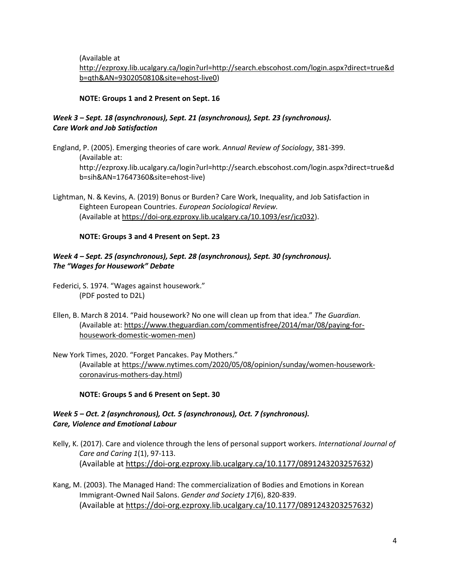(Available at

[http://ezproxy.lib.ucalgary.ca/login?url=http://search.ebscohost.com/login.aspx?direct=true&d](http://ezproxy.lib.ucalgary.ca/login?url=http://search.ebscohost.com/login.aspx?direct=true&db=qth&AN=9302050810&site=ehost-live0) [b=qth&AN=9302050810&site=ehost-live0\)](http://ezproxy.lib.ucalgary.ca/login?url=http://search.ebscohost.com/login.aspx?direct=true&db=qth&AN=9302050810&site=ehost-live0)

#### **NOTE: Groups 1 and 2 Present on Sept. 16**

### *Week 3 – Sept. 18 (asynchronous), Sept. 21 (asynchronous), Sept. 23 (synchronous). Care Work and Job Satisfaction*

England, P. (2005). Emerging theories of care work. *Annual Review of Sociology*, 381-399. (Available at: http://ezproxy.lib.ucalgary.ca/login?url=http://search.ebscohost.com/login.aspx?direct=true&d b=sih&AN=17647360&site=ehost-live)

Lightman, N. & Kevins, A. (2019) Bonus or Burden? Care Work, Inequality, and Job Satisfaction in Eighteen European Countries. *European Sociological Review.* (Available at [https://doi-org.ezproxy.lib.ucalgary.ca/10.1093/esr/jcz032\)](https://doi-org.ezproxy.lib.ucalgary.ca/10.1093/esr/jcz032).

#### **NOTE: Groups 3 and 4 Present on Sept. 23**

#### *Week 4 – Sept. 25 (asynchronous), Sept. 28 (asynchronous), Sept. 30 (synchronous). The "Wages for Housework" Debate*

Federici, S. 1974. "Wages against housework." (PDF posted to D2L)

- Ellen, B. March 8 2014. "Paid housework? No one will clean up from that idea." *The Guardian.*  (Available at: [https://www.theguardian.com/commentisfree/2014/mar/08/paying-for](https://www.theguardian.com/commentisfree/2014/mar/08/paying-for-housework-domestic-women-men)[housework-domestic-women-men\)](https://www.theguardian.com/commentisfree/2014/mar/08/paying-for-housework-domestic-women-men)
- New York Times, 2020. "Forget Pancakes. Pay Mothers." (Available at [https://www.nytimes.com/2020/05/08/opinion/sunday/women-housework](https://www.nytimes.com/2020/05/08/opinion/sunday/women-housework-coronavirus-mothers-day.html)[coronavirus-mothers-day.html\)](https://www.nytimes.com/2020/05/08/opinion/sunday/women-housework-coronavirus-mothers-day.html)

**NOTE: Groups 5 and 6 Present on Sept. 30**

### *Week 5 – Oct. 2 (asynchronous), Oct. 5 (asynchronous), Oct. 7 (synchronous). Care, Violence and Emotional Labour*

- Kelly, K. (2017). Care and violence through the lens of personal support workers. *International Journal of Care and Caring 1*(1), 97-113. (Available at [https://doi-org.ezproxy.lib.ucalgary.ca/10.1177/0891243203257632\)](https://doi-org.ezproxy.lib.ucalgary.ca/10.1177/0891243203257632)
- Kang, M. (2003). The Managed Hand: The commercialization of Bodies and Emotions in Korean Immigrant-Owned Nail Salons. *Gender and Society 17*(6), 820-839. (Available at [https://doi-org.ezproxy.lib.ucalgary.ca/10.1177/0891243203257632\)](https://doi-org.ezproxy.lib.ucalgary.ca/10.1177/0891243203257632)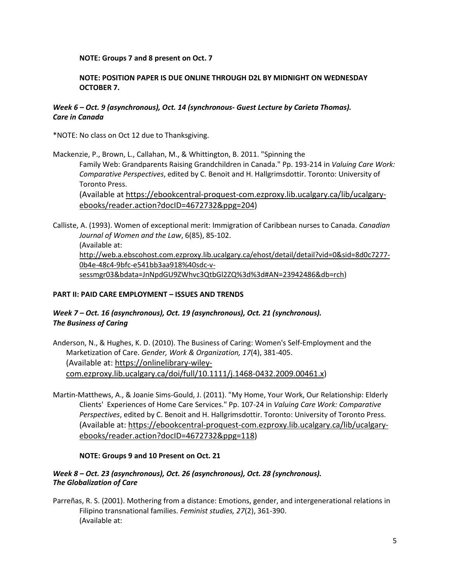#### **NOTE: Groups 7 and 8 present on Oct. 7**

### **NOTE: POSITION PAPER IS DUE ONLINE THROUGH D2L BY MIDNIGHT ON WEDNESDAY OCTOBER 7.**

### *Week 6 – Oct. 9 (asynchronous), Oct. 14 (synchronous- Guest Lecture by Carieta Thomas). Care in Canada*

\*NOTE: No class on Oct 12 due to Thanksgiving.

Mackenzie, P., Brown, L., Callahan, M., & Whittington, B. 2011. "Spinning the Family Web: Grandparents Raising Grandchildren in Canada." Pp. 193-214 in *Valuing Care Work: Comparative Perspectives*, edited by C. Benoit and H. Hallgrimsdottir. Toronto: University of Toronto Press.

(Available at [https://ebookcentral-proquest-com.ezproxy.lib.ucalgary.ca/lib/ucalgary](https://ebookcentral-proquest-com.ezproxy.lib.ucalgary.ca/lib/ucalgary-ebooks/reader.action?docID=4672732&ppg=204)[ebooks/reader.action?docID=4672732&ppg=204\)](https://ebookcentral-proquest-com.ezproxy.lib.ucalgary.ca/lib/ucalgary-ebooks/reader.action?docID=4672732&ppg=204)

Calliste, A. (1993). Women of exceptional merit: Immigration of Caribbean nurses to Canada. *Canadian Journal of Women and the Law*, 6(85), 85-102. (Available at: [http://web.a.ebscohost.com.ezproxy.lib.ucalgary.ca/ehost/detail/detail?vid=0&sid=8d0c7277-](http://web.a.ebscohost.com.ezproxy.lib.ucalgary.ca/ehost/detail/detail?vid=0&sid=8d0c7277-0b4e-48c4-9bfc-e541bb3aa918%40sdc-v-sessmgr03&bdata=JnNpdGU9ZWhvc3QtbGl2ZQ%3d%3d#AN=23942486&db=rch) [0b4e-48c4-9bfc-e541bb3aa918%40sdc-v](http://web.a.ebscohost.com.ezproxy.lib.ucalgary.ca/ehost/detail/detail?vid=0&sid=8d0c7277-0b4e-48c4-9bfc-e541bb3aa918%40sdc-v-sessmgr03&bdata=JnNpdGU9ZWhvc3QtbGl2ZQ%3d%3d#AN=23942486&db=rch)[sessmgr03&bdata=JnNpdGU9ZWhvc3QtbGl2ZQ%3d%3d#AN=23942486&db=rch\)](http://web.a.ebscohost.com.ezproxy.lib.ucalgary.ca/ehost/detail/detail?vid=0&sid=8d0c7277-0b4e-48c4-9bfc-e541bb3aa918%40sdc-v-sessmgr03&bdata=JnNpdGU9ZWhvc3QtbGl2ZQ%3d%3d#AN=23942486&db=rch)

### **PART II: PAID CARE EMPLOYMENT – ISSUES AND TRENDS**

### *Week 7 – Oct. 16 (asynchronous), Oct. 19 (asynchronous), Oct. 21 (synchronous). The Business of Caring*

Anderson, N., & Hughes, K. D. (2010). The Business of Caring: Women's Self-Employment and the Marketization of Care. *Gender, Work & Organization, 17*(4), 381-405. (Available at: [https://onlinelibrary-wiley](https://onlinelibrary-wiley-com.ezproxy.lib.ucalgary.ca/doi/full/10.1111/j.1468-0432.2009.00461.x)[com.ezproxy.lib.ucalgary.ca/doi/full/10.1111/j.1468-0432.2009.00461.x\)](https://onlinelibrary-wiley-com.ezproxy.lib.ucalgary.ca/doi/full/10.1111/j.1468-0432.2009.00461.x)

Martin-Matthews, A., & Joanie Sims-Gould, J. (2011). "My Home, Your Work, Our Relationship: Elderly Clients' Experiences of Home Care Services." Pp. 107-24 in *Valuing Care Work: Comparative Perspectives*, edited by C. Benoit and H. Hallgrimsdottir. Toronto: University of Toronto Press. (Available at: [https://ebookcentral-proquest-com.ezproxy.lib.ucalgary.ca/lib/ucalgary](https://ebookcentral-proquest-com.ezproxy.lib.ucalgary.ca/lib/ucalgary-ebooks/reader.action?docID=4672732&ppg=118)[ebooks/reader.action?docID=4672732&ppg=118\)](https://ebookcentral-proquest-com.ezproxy.lib.ucalgary.ca/lib/ucalgary-ebooks/reader.action?docID=4672732&ppg=118)

#### **NOTE: Groups 9 and 10 Present on Oct. 21**

#### *Week 8 – Oct. 23 (asynchronous), Oct. 26 (asynchronous), Oct. 28 (synchronous). The Globalization of Care*

Parreñas, R. S. (2001). Mothering from a distance: Emotions, gender, and intergenerational relations in Filipino transnational families. *Feminist studies, 27*(2), 361-390. (Available at: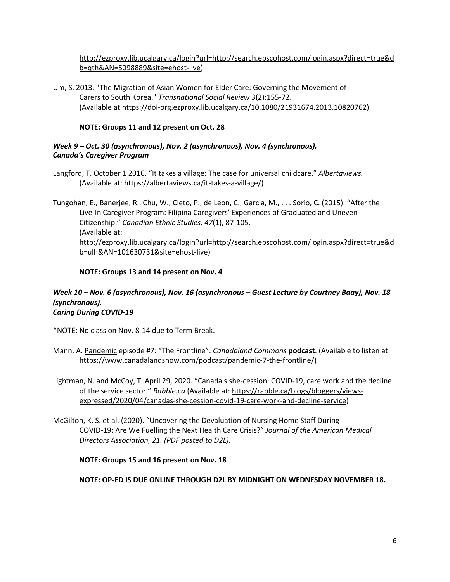[http://ezproxy.lib.ucalgary.ca/login?url=http://search.ebscohost.com/login.aspx?direct=true&d](http://ezproxy.lib.ucalgary.ca/login?url=http://search.ebscohost.com/login.aspx?direct=true&db=qth&AN=5098889&site=ehost-live) [b=qth&AN=5098889&site=ehost-live\)](http://ezproxy.lib.ucalgary.ca/login?url=http://search.ebscohost.com/login.aspx?direct=true&db=qth&AN=5098889&site=ehost-live)

Um, S. 2013. "The Migration of Asian Women for Elder Care: Governing the Movement of Carers to South Korea." *Transnational Social Review* 3(2):155-72. (Available at [https://doi-org.ezproxy.lib.ucalgary.ca/10.1080/21931674.2013.10820762\)](https://doi-org.ezproxy.lib.ucalgary.ca/10.1080/21931674.2013.10820762)

#### **NOTE: Groups 11 and 12 present on Oct. 28**

#### *Week 9 – Oct. 30 (asynchronous), Nov. 2 (asynchronous), Nov. 4 (synchronous). Canada's Caregiver Program*

Langford, T. October 1 2016. "It takes a village: The case for universal childcare." *Albertaviews.*  (Available at: [https://albertaviews.ca/it-takes-a-village/\)](https://albertaviews.ca/it-takes-a-village/)

Tungohan, E., Banerjee, R., Chu, W., Cleto, P., de Leon, C., Garcia, M., . . . Sorio, C. (2015). "After the Live-In Caregiver Program: Filipina Caregivers' Experiences of Graduated and Uneven Citizenship." *Canadian Ethnic Studies, 47*(1), 87-105. (Available at: [http://ezproxy.lib.ucalgary.ca/login?url=http://search.ebscohost.com/login.aspx?direct=true&d](http://ezproxy.lib.ucalgary.ca/login?url=http://search.ebscohost.com/login.aspx?direct=true&db=ulh&AN=101630731&site=ehost-live) [b=ulh&AN=101630731&site=ehost-live\)](http://ezproxy.lib.ucalgary.ca/login?url=http://search.ebscohost.com/login.aspx?direct=true&db=ulh&AN=101630731&site=ehost-live)

#### **NOTE: Groups 13 and 14 present on Nov. 4**

#### *Week 10 – Nov. 6 (asynchronous), Nov. 16 (asynchronous – Guest Lecture by Courtney Baay), Nov. 18 (synchronous). Caring During COVID-19*

\*NOTE: No class on Nov. 8-14 due to Term Break.

- Mann, A. [Pandemic](https://www.canadalandshow.com/shows/commons/) episode #7: "The Frontline". *Canadaland Commons* **podcast**. (Available to listen at: [https://www.canadalandshow.com/podcast/pandemic-7-the-frontline/\)](https://www.canadalandshow.com/podcast/pandemic-7-the-frontline/)
- Lightman, N. and McCoy, T. April 29, 2020. "Canada's she-cession: COVID-19, care work and the decline of the service sector." *Rabble.ca* (Available at[: https://rabble.ca/blogs/bloggers/views](https://rabble.ca/blogs/bloggers/views-expressed/2020/04/canadas-she-cession-covid-19-care-work-and-decline-service)[expressed/2020/04/canadas-she-cession-covid-19-care-work-and-decline-service\)](https://rabble.ca/blogs/bloggers/views-expressed/2020/04/canadas-she-cession-covid-19-care-work-and-decline-service)
- McGilton, K. S. et al. (2020). "Uncovering the Devaluation of Nursing Home Staff During COVID-19: Are We Fuelling the Next Health Care Crisis?" *Journal of the American Medical Directors Association, 21. (PDF posted to D2L).*

**NOTE: Groups 15 and 16 present on Nov. 18**

**NOTE: OP-ED IS DUE ONLINE THROUGH D2L BY MIDNIGHT ON WEDNESDAY NOVEMBER 18.**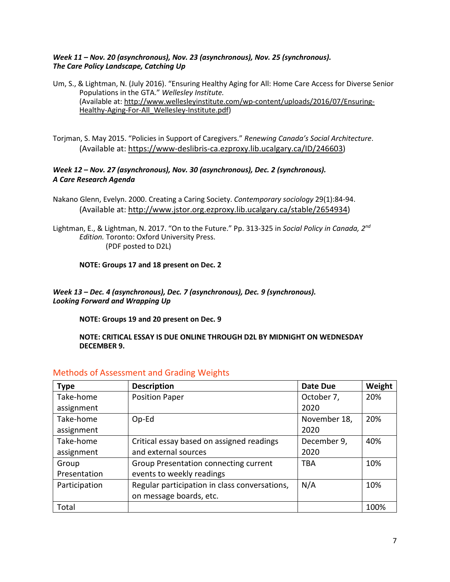#### *Week 11 – Nov. 20 (asynchronous), Nov. 23 (asynchronous), Nov. 25 (synchronous). The Care Policy Landscape, Catching Up*

- Um, S., & Lightman, N. (July 2016). "Ensuring Healthy Aging for All: Home Care Access for Diverse Senior Populations in the GTA." *Wellesley Institute.*  (Available at: [http://www.wellesleyinstitute.com/wp-content/uploads/2016/07/Ensuring-](http://www.wellesleyinstitute.com/wp-content/uploads/2016/07/Ensuring-Healthy-Aging-For-All_Wellesley-Institute.pdf)[Healthy-Aging-For-All\\_Wellesley-Institute.pdf\)](http://www.wellesleyinstitute.com/wp-content/uploads/2016/07/Ensuring-Healthy-Aging-For-All_Wellesley-Institute.pdf)
- Torjman, S. May 2015. "Policies in Support of Caregivers." *Renewing Canada's Social Architecture*. (Available at: [https://www-deslibris-ca.ezproxy.lib.ucalgary.ca/ID/246603\)](https://www-deslibris-ca.ezproxy.lib.ucalgary.ca/ID/246603)

### *Week 12 – Nov. 27 (asynchronous), Nov. 30 (asynchronous), Dec. 2 (synchronous). A Care Research Agenda*

- Nakano Glenn, Evelyn. 2000. Creating a Caring Society. *Contemporary sociology* 29(1):84-94. (Available at: [http://www.jstor.org.ezproxy.lib.ucalgary.ca/stable/2654934\)](http://www.jstor.org.ezproxy.lib.ucalgary.ca/stable/2654934)
- Lightman, E., & Lightman, N. 2017. "On to the Future." Pp. 313-325 in *Social Policy in Canada, 2nd Edition.* Toronto: Oxford University Press. (PDF posted to D2L)

#### **NOTE: Groups 17 and 18 present on Dec. 2**

#### *Week 13 – Dec. 4 (asynchronous), Dec. 7 (asynchronous), Dec. 9 (synchronous). Looking Forward and Wrapping Up*

**NOTE: Groups 19 and 20 present on Dec. 9**

#### **NOTE: CRITICAL ESSAY IS DUE ONLINE THROUGH D2L BY MIDNIGHT ON WEDNESDAY DECEMBER 9.**

| <b>Type</b>   | <b>Description</b>                            | <b>Date Due</b> | Weight |
|---------------|-----------------------------------------------|-----------------|--------|
| Take-home     | <b>Position Paper</b>                         | October 7,      | 20%    |
| assignment    |                                               | 2020            |        |
| Take-home     | $Op$ -Ed                                      | November 18,    | 20%    |
| assignment    |                                               | 2020            |        |
| Take-home     | Critical essay based on assigned readings     | December 9,     | 40%    |
| assignment    | and external sources                          | 2020            |        |
| Group         | Group Presentation connecting current         | TBA             | 10%    |
| Presentation  | events to weekly readings                     |                 |        |
| Participation | Regular participation in class conversations, | N/A             | 10%    |
|               | on message boards, etc.                       |                 |        |
| Total         |                                               |                 | 100%   |

# Methods of Assessment and Grading Weights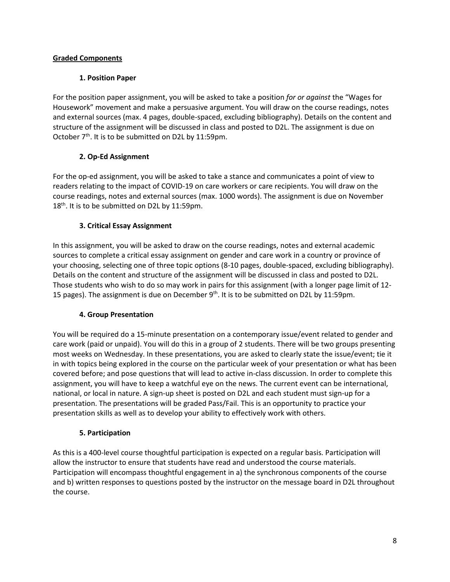### **Graded Components**

#### **1. Position Paper**

For the position paper assignment, you will be asked to take a position *for or against* the "Wages for Housework" movement and make a persuasive argument. You will draw on the course readings, notes and external sources (max. 4 pages, double-spaced, excluding bibliography). Details on the content and structure of the assignment will be discussed in class and posted to D2L. The assignment is due on October 7<sup>th</sup>. It is to be submitted on D2L by 11:59pm.

### **2. Op-Ed Assignment**

For the op-ed assignment, you will be asked to take a stance and communicates a point of view to readers relating to the impact of COVID-19 on care workers or care recipients. You will draw on the course readings, notes and external sources (max. 1000 words). The assignment is due on November 18<sup>th</sup>. It is to be submitted on D2L by 11:59pm.

### **3. Critical Essay Assignment**

In this assignment, you will be asked to draw on the course readings, notes and external academic sources to complete a critical essay assignment on gender and care work in a country or province of your choosing, selecting one of three topic options (8-10 pages, double-spaced, excluding bibliography). Details on the content and structure of the assignment will be discussed in class and posted to D2L. Those students who wish to do so may work in pairs for this assignment (with a longer page limit of 12- 15 pages). The assignment is due on December  $9<sup>th</sup>$ . It is to be submitted on D2L by 11:59pm.

### **4. Group Presentation**

You will be required do a 15-minute presentation on a contemporary issue/event related to gender and care work (paid or unpaid). You will do this in a group of 2 students. There will be two groups presenting most weeks on Wednesday. In these presentations, you are asked to clearly state the issue/event; tie it in with topics being explored in the course on the particular week of your presentation or what has been covered before; and pose questions that will lead to active in-class discussion. In order to complete this assignment, you will have to keep a watchful eye on the news. The current event can be international, national, or local in nature. A sign-up sheet is posted on D2L and each student must sign-up for a presentation. The presentations will be graded Pass/Fail. This is an opportunity to practice your presentation skills as well as to develop your ability to effectively work with others.

### **5. Participation**

As this is a 400-level course thoughtful participation is expected on a regular basis. Participation will allow the instructor to ensure that students have read and understood the course materials. Participation will encompass thoughtful engagement in a) the synchronous components of the course and b) written responses to questions posted by the instructor on the message board in D2L throughout the course.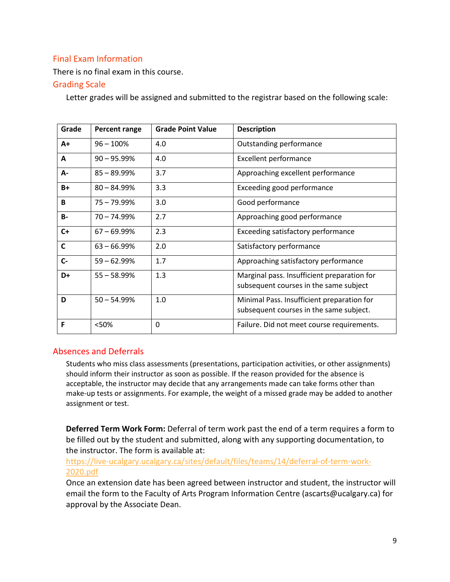# Final Exam Information

There is no final exam in this course.

# Grading Scale

Letter grades will be assigned and submitted to the registrar based on the following scale:

| Grade        | Percent range  | <b>Grade Point Value</b> | <b>Description</b>                                                                    |
|--------------|----------------|--------------------------|---------------------------------------------------------------------------------------|
| $A+$         | $96 - 100%$    | 4.0                      | Outstanding performance                                                               |
| A            | $90 - 95.99\%$ | 4.0                      | <b>Excellent performance</b>                                                          |
| А-           | $85 - 89.99%$  | 3.7                      | Approaching excellent performance                                                     |
| $B+$         | $80 - 84.99\%$ | 3.3                      | Exceeding good performance                                                            |
| B            | $75 - 79.99\%$ | 3.0                      | Good performance                                                                      |
| <b>B-</b>    | $70 - 74.99%$  | 2.7                      | Approaching good performance                                                          |
| $C+$         | $67 - 69.99\%$ | 2.3                      | Exceeding satisfactory performance                                                    |
| $\mathsf{C}$ | $63 - 66.99\%$ | 2.0                      | Satisfactory performance                                                              |
| $C -$        | $59 - 62.99%$  | 1.7                      | Approaching satisfactory performance                                                  |
| D+           | $55 - 58.99\%$ | 1.3                      | Marginal pass. Insufficient preparation for<br>subsequent courses in the same subject |
| D            | $50 - 54.99%$  | 1.0                      | Minimal Pass. Insufficient preparation for<br>subsequent courses in the same subject. |
| F            | <50%           | 0                        | Failure. Did not meet course requirements.                                            |

# Absences and Deferrals

Students who miss class assessments (presentations, participation activities, or other assignments) should inform their instructor as soon as possible. If the reason provided for the absence is acceptable, the instructor may decide that any arrangements made can take forms other than make-up tests or assignments. For example, the weight of a missed grade may be added to another assignment or test.

**Deferred Term Work Form:** Deferral of term work past the end of a term requires a form to be filled out by the student and submitted, along with any supporting documentation, to the instructor. The form is available at:

# [https://live-ucalgary.ucalgary.ca/sites/default/files/teams/14/deferral-of-term-work-](https://live-ucalgary.ucalgary.ca/sites/default/files/teams/14/deferral-of-term-work-2020.pdf)[2020.pdf](https://live-ucalgary.ucalgary.ca/sites/default/files/teams/14/deferral-of-term-work-2020.pdf)

Once an extension date has been agreed between instructor and student, the instructor will email the form to the Faculty of Arts Program Information Centre (ascarts@ucalgary.ca) for approval by the Associate Dean.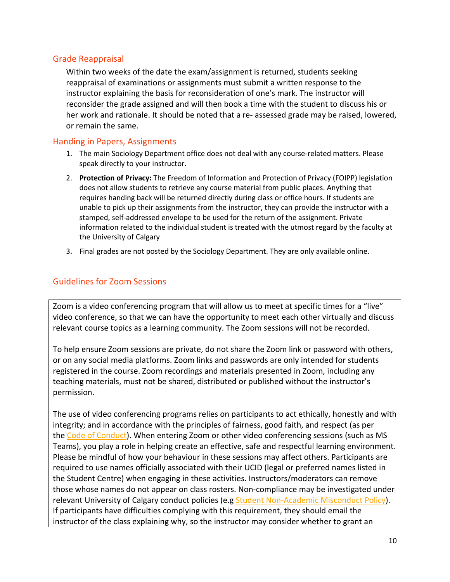## Grade Reappraisal

Within two weeks of the date the exam/assignment is returned, students seeking reappraisal of examinations or assignments must submit a written response to the instructor explaining the basis for reconsideration of one's mark. The instructor will reconsider the grade assigned and will then book a time with the student to discuss his or her work and rationale. It should be noted that a re- assessed grade may be raised, lowered, or remain the same.

# Handing in Papers, Assignments

- 1. The main Sociology Department office does not deal with any course-related matters. Please speak directly to your instructor.
- 2. **Protection of Privacy:** The Freedom of Information and Protection of Privacy (FOIPP) legislation does not allow students to retrieve any course material from public places. Anything that requires handing back will be returned directly during class or office hours. If students are unable to pick up their assignments from the instructor, they can provide the instructor with a stamped, self-addressed envelope to be used for the return of the assignment. Private information related to the individual student is treated with the utmost regard by the faculty at the University of Calgary
- 3. Final grades are not posted by the Sociology Department. They are only available online.

# Guidelines for Zoom Sessions

Zoom is a video conferencing program that will allow us to meet at specific times for a "live" video conference, so that we can have the opportunity to meet each other virtually and discuss relevant course topics as a learning community. The Zoom sessions will not be recorded.

To help ensure Zoom sessions are private, do not share the Zoom link or password with others, or on any social media platforms. Zoom links and passwords are only intended for students registered in the course. Zoom recordings and materials presented in Zoom, including any teaching materials, must not be shared, distributed or published without the instructor's permission.

The use of video conferencing programs relies on participants to act ethically, honestly and with integrity; and in accordance with the principles of fairness, good faith, and respect (as per the [Code of Conduct\)](https://www.ucalgary.ca/policies/files/policies/code-of-conduct.pdf). When entering Zoom or other video conferencing sessions (such as MS Teams), you play a role in helping create an effective, safe and respectful learning environment. Please be mindful of how your behaviour in these sessions may affect others. Participants are required to use names officially associated with their UCID (legal or preferred names listed in the Student Centre) when engaging in these activities. Instructors/moderators can remove those whose names do not appear on class rosters. Non-compliance may be investigated under relevant University of Calgary conduct policies (e.g [Student Non-Academic Misconduct Policy\)](https://ucalgary.ca/policies/files/policies/non-academic-misconduct-policy.pdf). If participants have difficulties complying with this requirement, they should email the instructor of the class explaining why, so the instructor may consider whether to grant an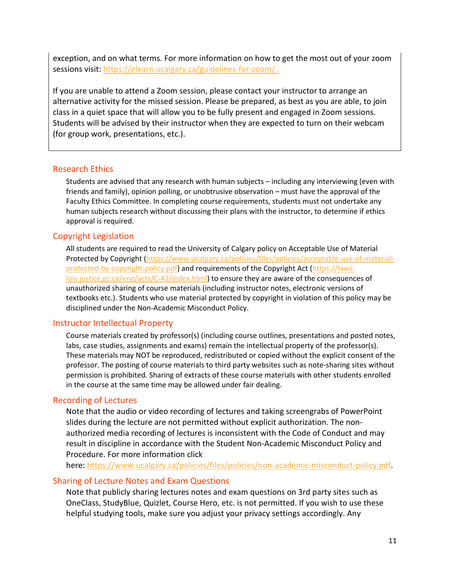exception, and on what terms. For more information on how to get the most out of your zoom sessions visit:<https://elearn.ucalgary.ca/guidelines-for-zoom/>.

If you are unable to attend a Zoom session, please contact your instructor to arrange an alternative activity for the missed session. Please be prepared, as best as you are able, to join class in a quiet space that will allow you to be fully present and engaged in Zoom sessions. Students will be advised by their instructor when they are expected to turn on their webcam (for group work, presentations, etc.).

### Research Ethics

Students are advised that any research with human subjects – including any interviewing (even with friends and family), opinion polling, or unobtrusive observation – must have the approval of the Faculty Ethics Committee. In completing course requirements, students must not undertake any human subjects research without discussing their plans with the instructor, to determine if ethics approval is required.

# Copyright Legislation

All students are required to read the University of Calgary policy on Acceptable Use of Material Protected by Copyright [\(https://www.ucalgary.ca/policies/files/policies/acceptable-use-of-material](https://www.ucalgary.ca/policies/files/policies/acceptable-use-of-material-protected-by-copyright-policy.pdf)[protected-by-copyright-policy.pdf\)](https://www.ucalgary.ca/policies/files/policies/acceptable-use-of-material-protected-by-copyright-policy.pdf) and requirements of the Copyright Act [\(https://laws](https://laws-lois.justice.gc.ca/eng/acts/C-42/index.html)[lois.justice.gc.ca/eng/acts/C-42/index.html\)](https://laws-lois.justice.gc.ca/eng/acts/C-42/index.html) to ensure they are aware of the consequences of unauthorized sharing of course materials (including instructor notes, electronic versions of textbooks etc.). Students who use material protected by copyright in violation of this policy may be disciplined under the Non-Academic Misconduct Policy.

# Instructor Intellectual Property

Course materials created by professor(s) (including course outlines, presentations and posted notes, labs, case studies, assignments and exams) remain the intellectual property of the professor(s). These materials may NOT be reproduced, redistributed or copied without the explicit consent of the professor. The posting of course materials to third party websites such as note-sharing sites without permission is prohibited. Sharing of extracts of these course materials with other students enrolled in the course at the same time may be allowed under fair dealing.

# Recording of Lectures

Note that the audio or video recording of lectures and taking screengrabs of PowerPoint slides during the lecture are not permitted without explicit authorization. The nonauthorized media recording of lectures is inconsistent with the Code of Conduct and may result in discipline in accordance with the Student Non-Academic Misconduct Policy and Procedure. For more information click

here: [https://www.ucalgary.ca/policies/files/policies/non-academic-misconduct-policy.pdf.](https://www.ucalgary.ca/policies/files/policies/non-academic-misconduct-policy.pdf)

### Sharing of Lecture Notes and Exam Questions

Note that publicly sharing lectures notes and exam questions on 3rd party sites such as OneClass, StudyBlue, Quizlet, Course Hero, etc. is not permitted. If you wish to use these helpful studying tools, make sure you adjust your privacy settings accordingly. Any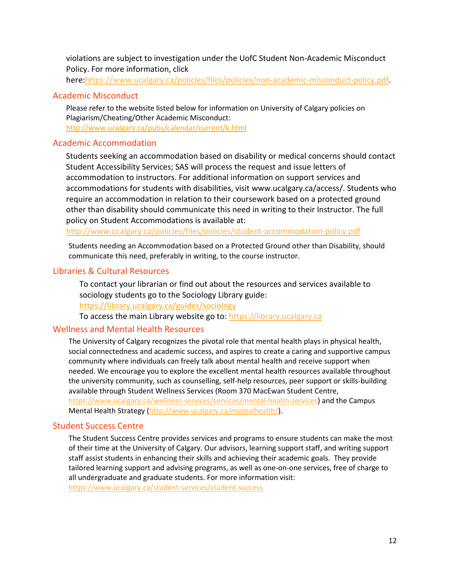violations are subject to investigation under the UofC Student Non-Academic Misconduct Policy. For more information, click

here[:https://www.ucalgary.ca/policies/files/policies/non-academic-misconduct-policy.pdf.](https://www.ucalgary.ca/policies/files/policies/non-academic-misconduct-policy.pdf)

### Academic Misconduct

Please refer to the website listed below for information on University of Calgary policies on Plagiarism/Cheating/Other Academic Misconduct: <http://www.ucalgary.ca/pubs/calendar/current/k.html>

## Academic Accommodation

Students seeking an accommodation based on disability or medical concerns should contact Student Accessibility Services; SAS will process the request and issue letters of accommodation to instructors. For additional information on support services and accommodations for students with disabilities, visit www.ucalgary.ca/access/. Students who require an accommodation in relation to their coursework based on a protected ground other than disability should communicate this need in writing to their Instructor. The full policy on Student Accommodations is available at:

<http://www.ucalgary.ca/policies/files/policies/student-accommodation-policy.pdf>

Students needing an Accommodation based on a Protected Ground other than Disability, should communicate this need, preferably in writing, to the course instructor.

# Libraries & Cultural Resources

To contact your librarian or find out about the resources and services available to sociology students go to the Sociology Library guide:

<https://library.ucalgary.ca/guides/sociology>

To access the main Library website go to: [https://library.ucalgary.ca](https://library.ucalgary.ca/)

### Wellness and Mental Health Resources

The University of Calgary recognizes the pivotal role that mental health plays in physical health, social connectedness and academic success, and aspires to create a caring and supportive campus community where individuals can freely talk about mental health and receive support when needed. We encourage you to explore the excellent mental health resources available throughout the university community, such as counselling, self-help resources, peer support or skills-building available through Student Wellness Services (Room 370 MacEwan Student Centre, [https://www.ucalgary.ca/wellness-services/services/mental-health-services\)](https://www.ucalgary.ca/wellness-services/services/mental-health-services) and the Campus Mental Health Strategy [\(http://www.ucalgary.ca/mentalhealth/\)](http://www.ucalgary.ca/mentalhealth/).

# Student Success Centre

The Student Success Centre provides services and programs to ensure students can make the most of their time at the University of Calgary. Our advisors, learning support staff, and writing support staff assist students in enhancing their skills and achieving their academic goals. They provide tailored learning support and advising programs, as well as one-on-one services, free of charge to all undergraduate and graduate students. For more information visit: <https://www.ucalgary.ca/student-services/student-success>